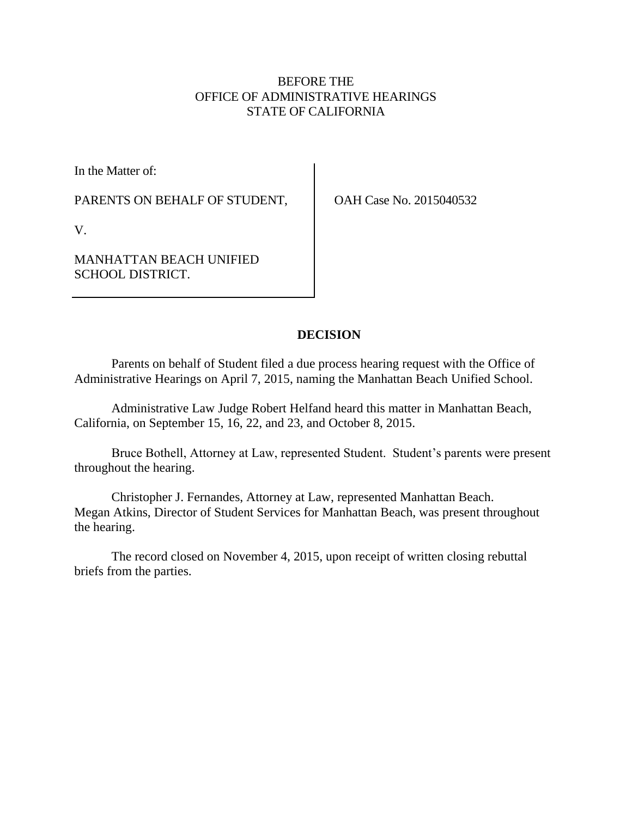# BEFORE THE OFFICE OF ADMINISTRATIVE HEARINGS STATE OF CALIFORNIA

In the Matter of:

PARENTS ON BEHALF OF STUDENT,

OAH Case No. 2015040532

V.

MANHATTAN BEACH UNIFIED SCHOOL DISTRICT.

# **DECISION**

Parents on behalf of Student filed a due process hearing request with the Office of Administrative Hearings on April 7, 2015, naming the Manhattan Beach Unified School.

Administrative Law Judge Robert Helfand heard this matter in Manhattan Beach, California, on September 15, 16, 22, and 23, and October 8, 2015.

Bruce Bothell, Attorney at Law, represented Student. Student's parents were present throughout the hearing.

Christopher J. Fernandes, Attorney at Law, represented Manhattan Beach. Megan Atkins, Director of Student Services for Manhattan Beach, was present throughout the hearing.

The record closed on November 4, 2015, upon receipt of written closing rebuttal briefs from the parties.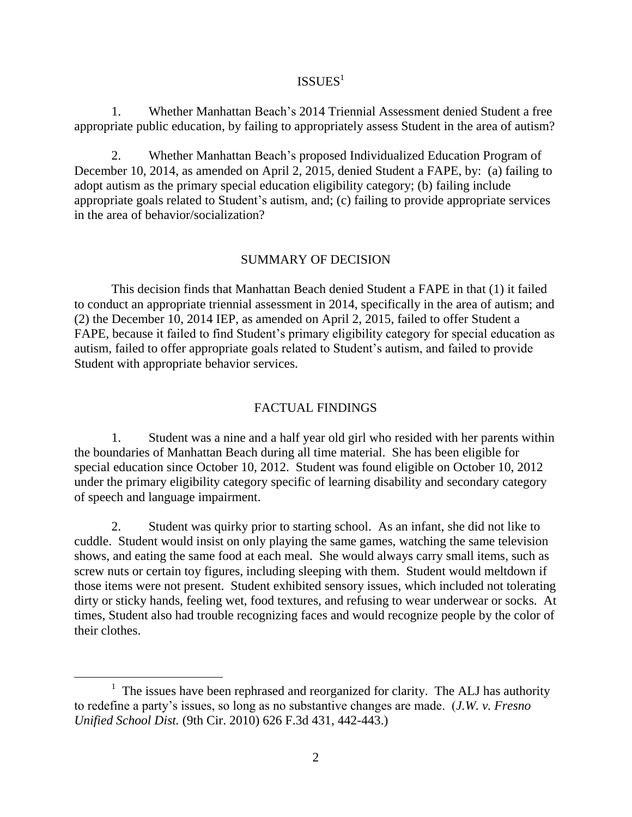# ${\rm ISSUES}^1$

1. Whether Manhattan Beach's 2014 Triennial Assessment denied Student a free appropriate public education, by failing to appropriately assess Student in the area of autism?

2. Whether Manhattan Beach's proposed Individualized Education Program of December 10, 2014, as amended on April 2, 2015, denied Student a FAPE, by: (a) failing to adopt autism as the primary special education eligibility category; (b) failing include appropriate goals related to Student's autism, and; (c) failing to provide appropriate services in the area of behavior/socialization?

#### SUMMARY OF DECISION

This decision finds that Manhattan Beach denied Student a FAPE in that (1) it failed to conduct an appropriate triennial assessment in 2014, specifically in the area of autism; and (2) the December 10, 2014 IEP, as amended on April 2, 2015, failed to offer Student a FAPE, because it failed to find Student's primary eligibility category for special education as autism, failed to offer appropriate goals related to Student's autism, and failed to provide Student with appropriate behavior services.

#### FACTUAL FINDINGS

1. Student was a nine and a half year old girl who resided with her parents within the boundaries of Manhattan Beach during all time material. She has been eligible for special education since October 10, 2012. Student was found eligible on October 10, 2012 under the primary eligibility category specific of learning disability and secondary category of speech and language impairment.

2. Student was quirky prior to starting school. As an infant, she did not like to cuddle. Student would insist on only playing the same games, watching the same television shows, and eating the same food at each meal. She would always carry small items, such as screw nuts or certain toy figures, including sleeping with them. Student would meltdown if those items were not present. Student exhibited sensory issues, which included not tolerating dirty or sticky hands, feeling wet, food textures, and refusing to wear underwear or socks. At times, Student also had trouble recognizing faces and would recognize people by the color of their clothes.

 $\overline{a}$ 

 $<sup>1</sup>$  The issues have been rephrased and reorganized for clarity. The ALJ has authority</sup> to redefine a party's issues, so long as no substantive changes are made. (*J.W. v. Fresno Unified School Dist.* (9th Cir. 2010) 626 F.3d 431, 442-443.)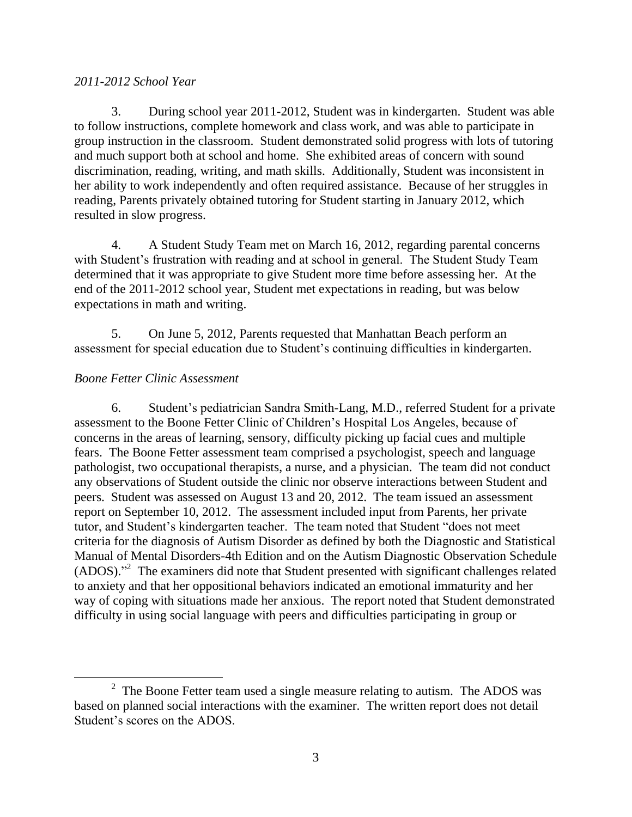### *2011-2012 School Year*

3. During school year 2011-2012, Student was in kindergarten. Student was able to follow instructions, complete homework and class work, and was able to participate in group instruction in the classroom. Student demonstrated solid progress with lots of tutoring and much support both at school and home. She exhibited areas of concern with sound discrimination, reading, writing, and math skills. Additionally, Student was inconsistent in her ability to work independently and often required assistance. Because of her struggles in reading, Parents privately obtained tutoring for Student starting in January 2012, which resulted in slow progress.

4. A Student Study Team met on March 16, 2012, regarding parental concerns with Student's frustration with reading and at school in general. The Student Study Team determined that it was appropriate to give Student more time before assessing her. At the end of the 2011-2012 school year, Student met expectations in reading, but was below expectations in math and writing.

5. On June 5, 2012, Parents requested that Manhattan Beach perform an assessment for special education due to Student's continuing difficulties in kindergarten.

## *Boone Fetter Clinic Assessment*

 $\overline{a}$ 

6. Student's pediatrician Sandra Smith-Lang, M.D., referred Student for a private assessment to the Boone Fetter Clinic of Children's Hospital Los Angeles, because of concerns in the areas of learning, sensory, difficulty picking up facial cues and multiple fears. The Boone Fetter assessment team comprised a psychologist, speech and language pathologist, two occupational therapists, a nurse, and a physician. The team did not conduct any observations of Student outside the clinic nor observe interactions between Student and peers. Student was assessed on August 13 and 20, 2012. The team issued an assessment report on September 10, 2012. The assessment included input from Parents, her private tutor, and Student's kindergarten teacher. The team noted that Student "does not meet criteria for the diagnosis of Autism Disorder as defined by both the Diagnostic and Statistical Manual of Mental Disorders-4th Edition and on the Autism Diagnostic Observation Schedule (ADOS)." 2 The examiners did note that Student presented with significant challenges related to anxiety and that her oppositional behaviors indicated an emotional immaturity and her way of coping with situations made her anxious. The report noted that Student demonstrated difficulty in using social language with peers and difficulties participating in group or

 $2$  The Boone Fetter team used a single measure relating to autism. The ADOS was based on planned social interactions with the examiner. The written report does not detail Student's scores on the ADOS.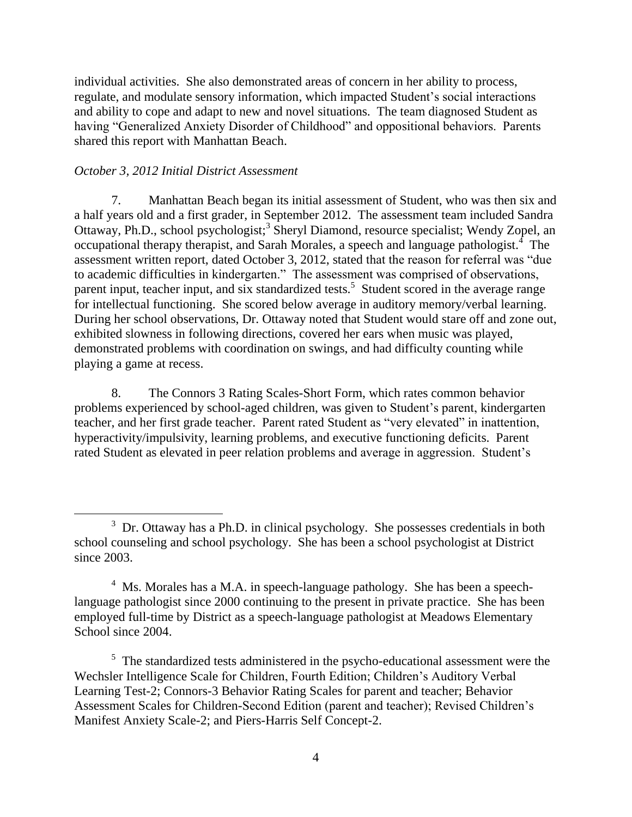individual activities. She also demonstrated areas of concern in her ability to process, regulate, and modulate sensory information, which impacted Student's social interactions and ability to cope and adapt to new and novel situations. The team diagnosed Student as having "Generalized Anxiety Disorder of Childhood" and oppositional behaviors. Parents shared this report with Manhattan Beach.

### *October 3, 2012 Initial District Assessment*

7. Manhattan Beach began its initial assessment of Student, who was then six and a half years old and a first grader, in September 2012. The assessment team included Sandra Ottaway, Ph.D., school psychologist;<sup>3</sup> Sheryl Diamond, resource specialist; Wendy Zopel, an occupational therapy therapist, and Sarah Morales, a speech and language pathologist.<sup>4</sup> The assessment written report, dated October 3, 2012, stated that the reason for referral was "due to academic difficulties in kindergarten." The assessment was comprised of observations, parent input, teacher input, and six standardized tests.<sup>5</sup> Student scored in the average range for intellectual functioning. She scored below average in auditory memory/verbal learning. During her school observations, Dr. Ottaway noted that Student would stare off and zone out, exhibited slowness in following directions, covered her ears when music was played, demonstrated problems with coordination on swings, and had difficulty counting while playing a game at recess.

8. The Connors 3 Rating Scales-Short Form, which rates common behavior problems experienced by school-aged children, was given to Student's parent, kindergarten teacher, and her first grade teacher. Parent rated Student as "very elevated" in inattention, hyperactivity/impulsivity, learning problems, and executive functioning deficits. Parent rated Student as elevated in peer relation problems and average in aggression. Student's

<sup>&</sup>lt;sup>3</sup> Dr. Ottaway has a Ph.D. in clinical psychology. She possesses credentials in both school counseling and school psychology. She has been a school psychologist at District since 2003.

 $4$  Ms. Morales has a M.A. in speech-language pathology. She has been a speechlanguage pathologist since 2000 continuing to the present in private practice. She has been employed full-time by District as a speech-language pathologist at Meadows Elementary School since 2004.

<sup>&</sup>lt;sup>5</sup> The standardized tests administered in the psycho-educational assessment were the Wechsler Intelligence Scale for Children, Fourth Edition; Children's Auditory Verbal Learning Test-2; Connors-3 Behavior Rating Scales for parent and teacher; Behavior Assessment Scales for Children-Second Edition (parent and teacher); Revised Children's Manifest Anxiety Scale-2; and Piers-Harris Self Concept-2.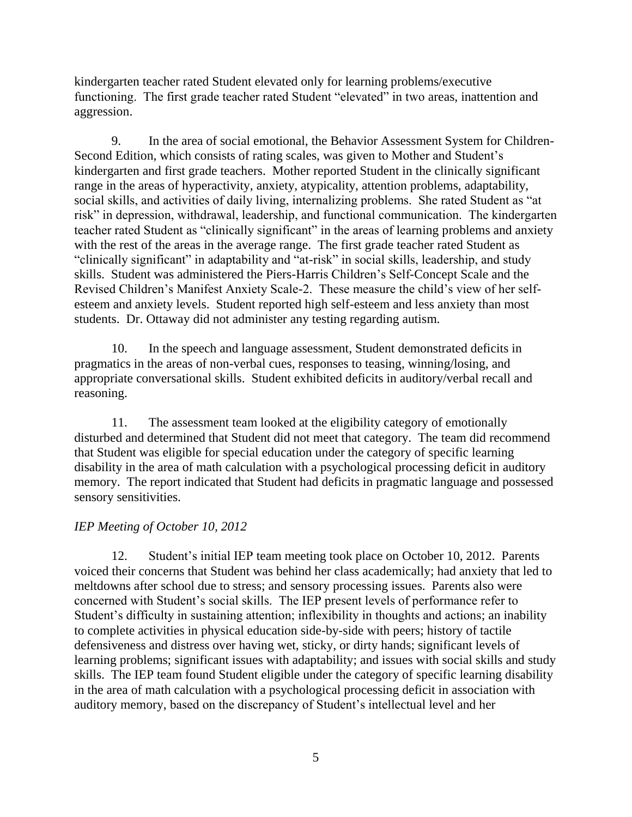kindergarten teacher rated Student elevated only for learning problems/executive functioning. The first grade teacher rated Student "elevated" in two areas, inattention and aggression.

9. In the area of social emotional, the Behavior Assessment System for Children-Second Edition, which consists of rating scales, was given to Mother and Student's kindergarten and first grade teachers. Mother reported Student in the clinically significant range in the areas of hyperactivity, anxiety, atypicality, attention problems, adaptability, social skills, and activities of daily living, internalizing problems. She rated Student as "at risk" in depression, withdrawal, leadership, and functional communication. The kindergarten teacher rated Student as "clinically significant" in the areas of learning problems and anxiety with the rest of the areas in the average range. The first grade teacher rated Student as "clinically significant" in adaptability and "at-risk" in social skills, leadership, and study skills. Student was administered the Piers-Harris Children's Self-Concept Scale and the Revised Children's Manifest Anxiety Scale-2. These measure the child's view of her selfesteem and anxiety levels. Student reported high self-esteem and less anxiety than most students. Dr. Ottaway did not administer any testing regarding autism.

10. In the speech and language assessment, Student demonstrated deficits in pragmatics in the areas of non-verbal cues, responses to teasing, winning/losing, and appropriate conversational skills. Student exhibited deficits in auditory/verbal recall and reasoning.

11. The assessment team looked at the eligibility category of emotionally disturbed and determined that Student did not meet that category. The team did recommend that Student was eligible for special education under the category of specific learning disability in the area of math calculation with a psychological processing deficit in auditory memory. The report indicated that Student had deficits in pragmatic language and possessed sensory sensitivities.

## *IEP Meeting of October 10, 2012*

12. Student's initial IEP team meeting took place on October 10, 2012. Parents voiced their concerns that Student was behind her class academically; had anxiety that led to meltdowns after school due to stress; and sensory processing issues. Parents also were concerned with Student's social skills. The IEP present levels of performance refer to Student's difficulty in sustaining attention; inflexibility in thoughts and actions; an inability to complete activities in physical education side-by-side with peers; history of tactile defensiveness and distress over having wet, sticky, or dirty hands; significant levels of learning problems; significant issues with adaptability; and issues with social skills and study skills. The IEP team found Student eligible under the category of specific learning disability in the area of math calculation with a psychological processing deficit in association with auditory memory, based on the discrepancy of Student's intellectual level and her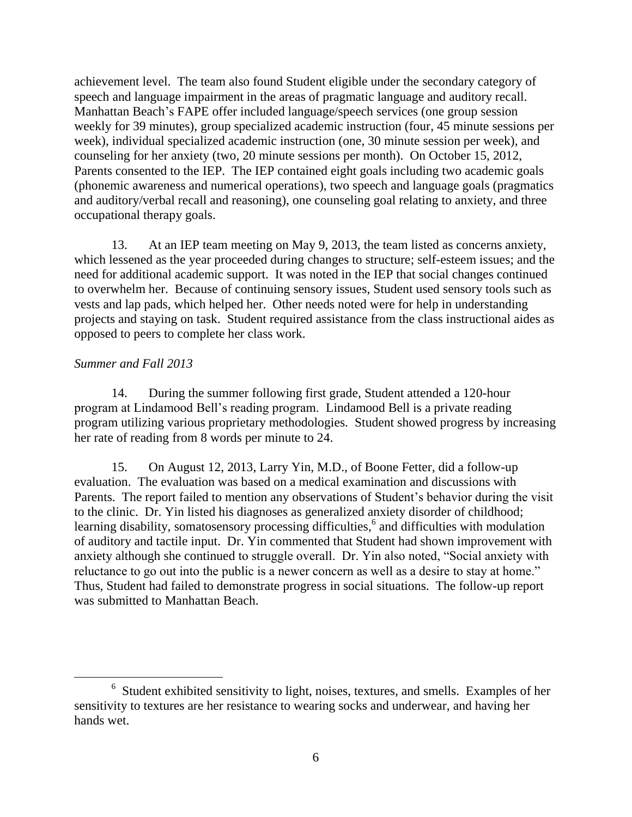achievement level. The team also found Student eligible under the secondary category of speech and language impairment in the areas of pragmatic language and auditory recall. Manhattan Beach's FAPE offer included language/speech services (one group session weekly for 39 minutes), group specialized academic instruction (four, 45 minute sessions per week), individual specialized academic instruction (one, 30 minute session per week), and counseling for her anxiety (two, 20 minute sessions per month). On October 15, 2012, Parents consented to the IEP. The IEP contained eight goals including two academic goals (phonemic awareness and numerical operations), two speech and language goals (pragmatics and auditory/verbal recall and reasoning), one counseling goal relating to anxiety, and three occupational therapy goals.

13. At an IEP team meeting on May 9, 2013, the team listed as concerns anxiety, which lessened as the year proceeded during changes to structure; self-esteem issues; and the need for additional academic support. It was noted in the IEP that social changes continued to overwhelm her. Because of continuing sensory issues, Student used sensory tools such as vests and lap pads, which helped her. Other needs noted were for help in understanding projects and staying on task. Student required assistance from the class instructional aides as opposed to peers to complete her class work.

### *Summer and Fall 2013*

 $\overline{a}$ 

14. During the summer following first grade, Student attended a 120-hour program at Lindamood Bell's reading program. Lindamood Bell is a private reading program utilizing various proprietary methodologies. Student showed progress by increasing her rate of reading from 8 words per minute to 24.

15. On August 12, 2013, Larry Yin, M.D., of Boone Fetter, did a follow-up evaluation. The evaluation was based on a medical examination and discussions with Parents. The report failed to mention any observations of Student's behavior during the visit to the clinic. Dr. Yin listed his diagnoses as generalized anxiety disorder of childhood; learning disability, somatosensory processing difficulties,<sup>6</sup> and difficulties with modulation of auditory and tactile input. Dr. Yin commented that Student had shown improvement with anxiety although she continued to struggle overall. Dr. Yin also noted, "Social anxiety with reluctance to go out into the public is a newer concern as well as a desire to stay at home." Thus, Student had failed to demonstrate progress in social situations. The follow-up report was submitted to Manhattan Beach.

<sup>&</sup>lt;sup>6</sup> Student exhibited sensitivity to light, noises, textures, and smells. Examples of her sensitivity to textures are her resistance to wearing socks and underwear, and having her hands wet.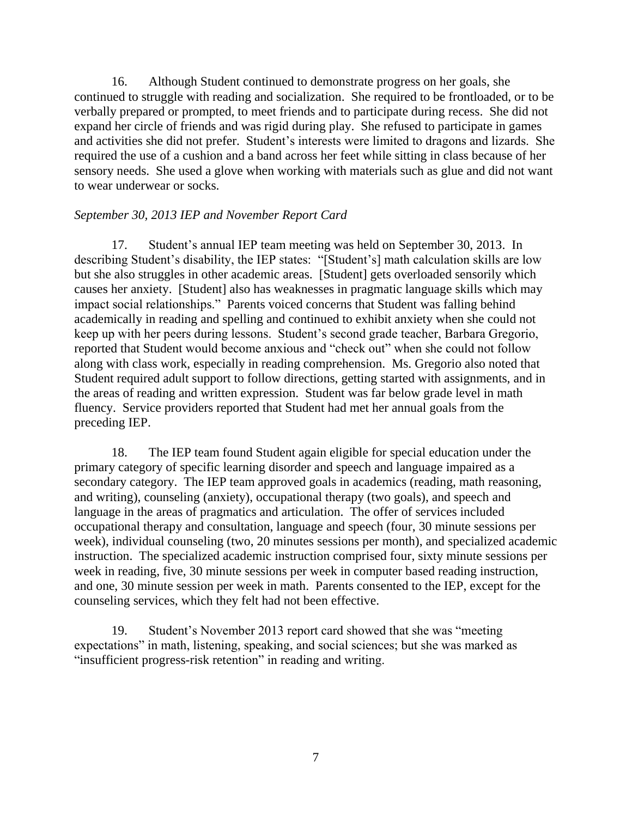16. Although Student continued to demonstrate progress on her goals, she continued to struggle with reading and socialization. She required to be frontloaded, or to be verbally prepared or prompted, to meet friends and to participate during recess. She did not expand her circle of friends and was rigid during play. She refused to participate in games and activities she did not prefer. Student's interests were limited to dragons and lizards. She required the use of a cushion and a band across her feet while sitting in class because of her sensory needs. She used a glove when working with materials such as glue and did not want to wear underwear or socks.

#### *September 30, 2013 IEP and November Report Card*

17. Student's annual IEP team meeting was held on September 30, 2013. In describing Student's disability, the IEP states: "[Student's] math calculation skills are low but she also struggles in other academic areas. [Student] gets overloaded sensorily which causes her anxiety. [Student] also has weaknesses in pragmatic language skills which may impact social relationships." Parents voiced concerns that Student was falling behind academically in reading and spelling and continued to exhibit anxiety when she could not keep up with her peers during lessons. Student's second grade teacher, Barbara Gregorio, reported that Student would become anxious and "check out" when she could not follow along with class work, especially in reading comprehension. Ms. Gregorio also noted that Student required adult support to follow directions, getting started with assignments, and in the areas of reading and written expression. Student was far below grade level in math fluency. Service providers reported that Student had met her annual goals from the preceding IEP.

18. The IEP team found Student again eligible for special education under the primary category of specific learning disorder and speech and language impaired as a secondary category. The IEP team approved goals in academics (reading, math reasoning, and writing), counseling (anxiety), occupational therapy (two goals), and speech and language in the areas of pragmatics and articulation. The offer of services included occupational therapy and consultation, language and speech (four, 30 minute sessions per week), individual counseling (two, 20 minutes sessions per month), and specialized academic instruction. The specialized academic instruction comprised four, sixty minute sessions per week in reading, five, 30 minute sessions per week in computer based reading instruction, and one, 30 minute session per week in math. Parents consented to the IEP, except for the counseling services, which they felt had not been effective.

19. Student's November 2013 report card showed that she was "meeting expectations" in math, listening, speaking, and social sciences; but she was marked as "insufficient progress-risk retention" in reading and writing.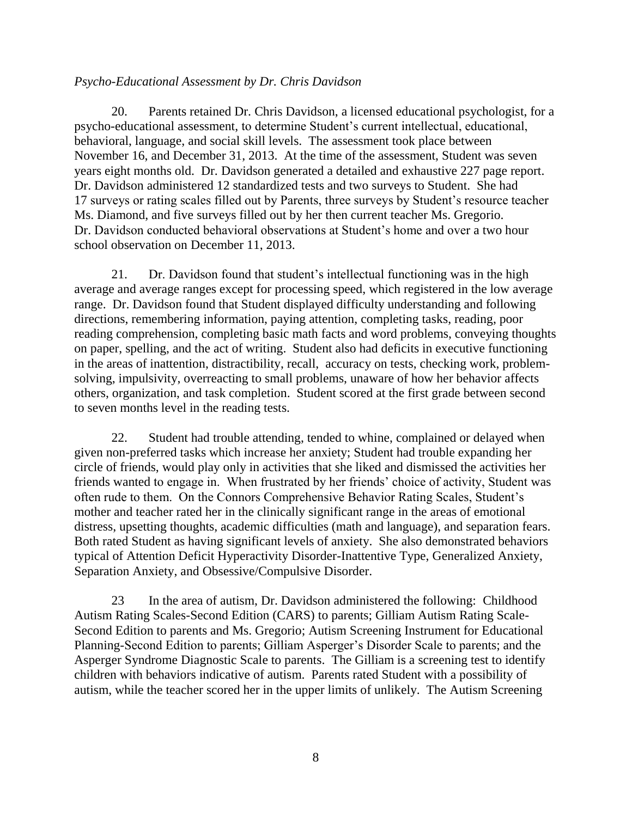## *Psycho-Educational Assessment by Dr. Chris Davidson*

20. Parents retained Dr. Chris Davidson, a licensed educational psychologist, for a psycho-educational assessment, to determine Student's current intellectual, educational, behavioral, language, and social skill levels. The assessment took place between November 16, and December 31, 2013. At the time of the assessment, Student was seven years eight months old. Dr. Davidson generated a detailed and exhaustive 227 page report. Dr. Davidson administered 12 standardized tests and two surveys to Student. She had 17 surveys or rating scales filled out by Parents, three surveys by Student's resource teacher Ms. Diamond, and five surveys filled out by her then current teacher Ms. Gregorio. Dr. Davidson conducted behavioral observations at Student's home and over a two hour school observation on December 11, 2013.

21. Dr. Davidson found that student's intellectual functioning was in the high average and average ranges except for processing speed, which registered in the low average range. Dr. Davidson found that Student displayed difficulty understanding and following directions, remembering information, paying attention, completing tasks, reading, poor reading comprehension, completing basic math facts and word problems, conveying thoughts on paper, spelling, and the act of writing. Student also had deficits in executive functioning in the areas of inattention, distractibility, recall, accuracy on tests, checking work, problemsolving, impulsivity, overreacting to small problems, unaware of how her behavior affects others, organization, and task completion. Student scored at the first grade between second to seven months level in the reading tests.

22. Student had trouble attending, tended to whine, complained or delayed when given non-preferred tasks which increase her anxiety; Student had trouble expanding her circle of friends, would play only in activities that she liked and dismissed the activities her friends wanted to engage in. When frustrated by her friends' choice of activity, Student was often rude to them. On the Connors Comprehensive Behavior Rating Scales, Student's mother and teacher rated her in the clinically significant range in the areas of emotional distress, upsetting thoughts, academic difficulties (math and language), and separation fears. Both rated Student as having significant levels of anxiety. She also demonstrated behaviors typical of Attention Deficit Hyperactivity Disorder-Inattentive Type, Generalized Anxiety, Separation Anxiety, and Obsessive/Compulsive Disorder.

23 In the area of autism, Dr. Davidson administered the following: Childhood Autism Rating Scales-Second Edition (CARS) to parents; Gilliam Autism Rating Scale-Second Edition to parents and Ms. Gregorio; Autism Screening Instrument for Educational Planning-Second Edition to parents; Gilliam Asperger's Disorder Scale to parents; and the Asperger Syndrome Diagnostic Scale to parents. The Gilliam is a screening test to identify children with behaviors indicative of autism. Parents rated Student with a possibility of autism, while the teacher scored her in the upper limits of unlikely. The Autism Screening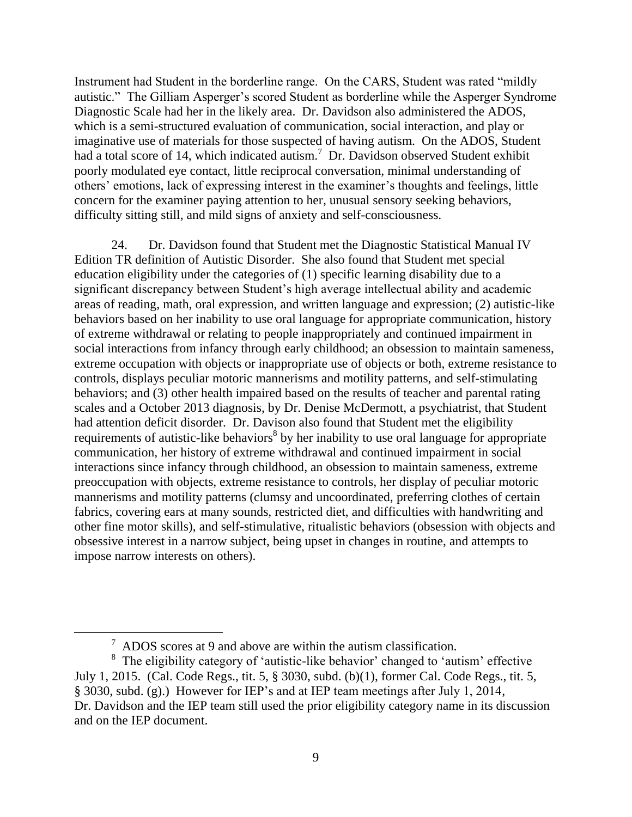Instrument had Student in the borderline range. On the CARS, Student was rated "mildly autistic." The Gilliam Asperger's scored Student as borderline while the Asperger Syndrome Diagnostic Scale had her in the likely area. Dr. Davidson also administered the ADOS, which is a semi-structured evaluation of communication, social interaction, and play or imaginative use of materials for those suspected of having autism. On the ADOS, Student had a total score of 14, which indicated autism.<sup>7</sup> Dr. Davidson observed Student exhibit poorly modulated eye contact, little reciprocal conversation, minimal understanding of others' emotions, lack of expressing interest in the examiner's thoughts and feelings, little concern for the examiner paying attention to her, unusual sensory seeking behaviors, difficulty sitting still, and mild signs of anxiety and self-consciousness.

24. Dr. Davidson found that Student met the Diagnostic Statistical Manual IV Edition TR definition of Autistic Disorder. She also found that Student met special education eligibility under the categories of (1) specific learning disability due to a significant discrepancy between Student's high average intellectual ability and academic areas of reading, math, oral expression, and written language and expression; (2) autistic-like behaviors based on her inability to use oral language for appropriate communication, history of extreme withdrawal or relating to people inappropriately and continued impairment in social interactions from infancy through early childhood; an obsession to maintain sameness, extreme occupation with objects or inappropriate use of objects or both, extreme resistance to controls, displays peculiar motoric mannerisms and motility patterns, and self-stimulating behaviors; and (3) other health impaired based on the results of teacher and parental rating scales and a October 2013 diagnosis, by Dr. Denise McDermott, a psychiatrist, that Student had attention deficit disorder. Dr. Davison also found that Student met the eligibility requirements of autistic-like behaviors<sup>8</sup> by her inability to use oral language for appropriate communication, her history of extreme withdrawal and continued impairment in social interactions since infancy through childhood, an obsession to maintain sameness, extreme preoccupation with objects, extreme resistance to controls, her display of peculiar motoric mannerisms and motility patterns (clumsy and uncoordinated, preferring clothes of certain fabrics, covering ears at many sounds, restricted diet, and difficulties with handwriting and other fine motor skills), and self-stimulative, ritualistic behaviors (obsession with objects and obsessive interest in a narrow subject, being upset in changes in routine, and attempts to impose narrow interests on others).

 $\frac{7}{1}$  ADOS scores at 9 and above are within the autism classification.

<sup>8</sup> The eligibility category of 'autistic-like behavior' changed to 'autism' effective July 1, 2015. (Cal. Code Regs., tit. 5, § 3030, subd. (b)(1), former Cal. Code Regs., tit. 5, § 3030, subd. (g).) However for IEP's and at IEP team meetings after July 1, 2014, Dr. Davidson and the IEP team still used the prior eligibility category name in its discussion and on the IEP document.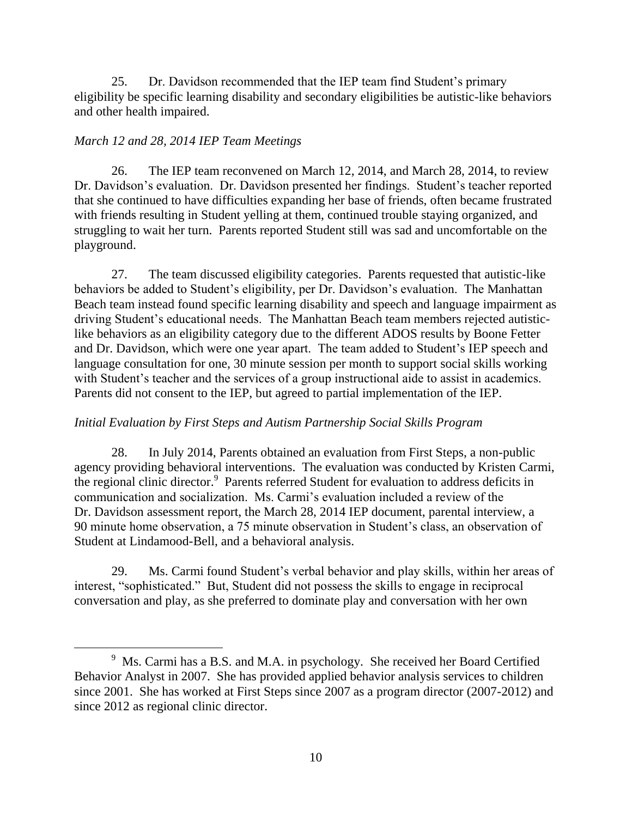25. Dr. Davidson recommended that the IEP team find Student's primary eligibility be specific learning disability and secondary eligibilities be autistic-like behaviors and other health impaired.

# *March 12 and 28, 2014 IEP Team Meetings*

26. The IEP team reconvened on March 12, 2014, and March 28, 2014, to review Dr. Davidson's evaluation. Dr. Davidson presented her findings. Student's teacher reported that she continued to have difficulties expanding her base of friends, often became frustrated with friends resulting in Student yelling at them, continued trouble staying organized, and struggling to wait her turn. Parents reported Student still was sad and uncomfortable on the playground.

27. The team discussed eligibility categories. Parents requested that autistic-like behaviors be added to Student's eligibility, per Dr. Davidson's evaluation. The Manhattan Beach team instead found specific learning disability and speech and language impairment as driving Student's educational needs. The Manhattan Beach team members rejected autisticlike behaviors as an eligibility category due to the different ADOS results by Boone Fetter and Dr. Davidson, which were one year apart. The team added to Student's IEP speech and language consultation for one, 30 minute session per month to support social skills working with Student's teacher and the services of a group instructional aide to assist in academics. Parents did not consent to the IEP, but agreed to partial implementation of the IEP.

# *Initial Evaluation by First Steps and Autism Partnership Social Skills Program*

28. In July 2014, Parents obtained an evaluation from First Steps, a non-public agency providing behavioral interventions. The evaluation was conducted by Kristen Carmi, the regional clinic director.<sup>9</sup> Parents referred Student for evaluation to address deficits in communication and socialization. Ms. Carmi's evaluation included a review of the Dr. Davidson assessment report, the March 28, 2014 IEP document, parental interview, a 90 minute home observation, a 75 minute observation in Student's class, an observation of Student at Lindamood-Bell, and a behavioral analysis.

29. Ms. Carmi found Student's verbal behavior and play skills, within her areas of interest, "sophisticated." But, Student did not possess the skills to engage in reciprocal conversation and play, as she preferred to dominate play and conversation with her own

 $9$  Ms. Carmi has a B.S. and M.A. in psychology. She received her Board Certified Behavior Analyst in 2007. She has provided applied behavior analysis services to children since 2001. She has worked at First Steps since 2007 as a program director (2007-2012) and since 2012 as regional clinic director.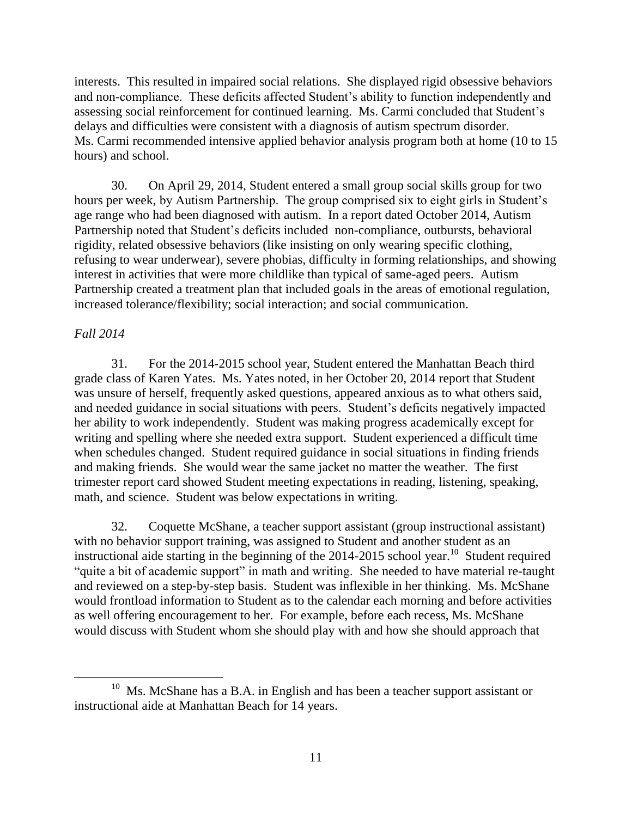interests. This resulted in impaired social relations. She displayed rigid obsessive behaviors and non-compliance. These deficits affected Student's ability to function independently and assessing social reinforcement for continued learning. Ms. Carmi concluded that Student's delays and difficulties were consistent with a diagnosis of autism spectrum disorder. Ms. Carmi recommended intensive applied behavior analysis program both at home (10 to 15 hours) and school.

30. On April 29, 2014, Student entered a small group social skills group for two hours per week, by Autism Partnership. The group comprised six to eight girls in Student's age range who had been diagnosed with autism. In a report dated October 2014, Autism Partnership noted that Student's deficits included non-compliance, outbursts, behavioral rigidity, related obsessive behaviors (like insisting on only wearing specific clothing, refusing to wear underwear), severe phobias, difficulty in forming relationships, and showing interest in activities that were more childlike than typical of same-aged peers. Autism Partnership created a treatment plan that included goals in the areas of emotional regulation, increased tolerance/flexibility; social interaction; and social communication.

## *Fall 2014*

 $\overline{a}$ 

31. For the 2014-2015 school year, Student entered the Manhattan Beach third grade class of Karen Yates. Ms. Yates noted, in her October 20, 2014 report that Student was unsure of herself, frequently asked questions, appeared anxious as to what others said, and needed guidance in social situations with peers. Student's deficits negatively impacted her ability to work independently. Student was making progress academically except for writing and spelling where she needed extra support. Student experienced a difficult time when schedules changed. Student required guidance in social situations in finding friends and making friends. She would wear the same jacket no matter the weather. The first trimester report card showed Student meeting expectations in reading, listening, speaking, math, and science. Student was below expectations in writing.

32. Coquette McShane, a teacher support assistant (group instructional assistant) with no behavior support training, was assigned to Student and another student as an instructional aide starting in the beginning of the  $2014-2015$  school year.<sup>10</sup> Student required "quite a bit of academic support" in math and writing. She needed to have material re-taught and reviewed on a step-by-step basis. Student was inflexible in her thinking. Ms. McShane would frontload information to Student as to the calendar each morning and before activities as well offering encouragement to her. For example, before each recess, Ms. McShane would discuss with Student whom she should play with and how she should approach that

<sup>&</sup>lt;sup>10</sup> Ms. McShane has a B.A. in English and has been a teacher support assistant or instructional aide at Manhattan Beach for 14 years.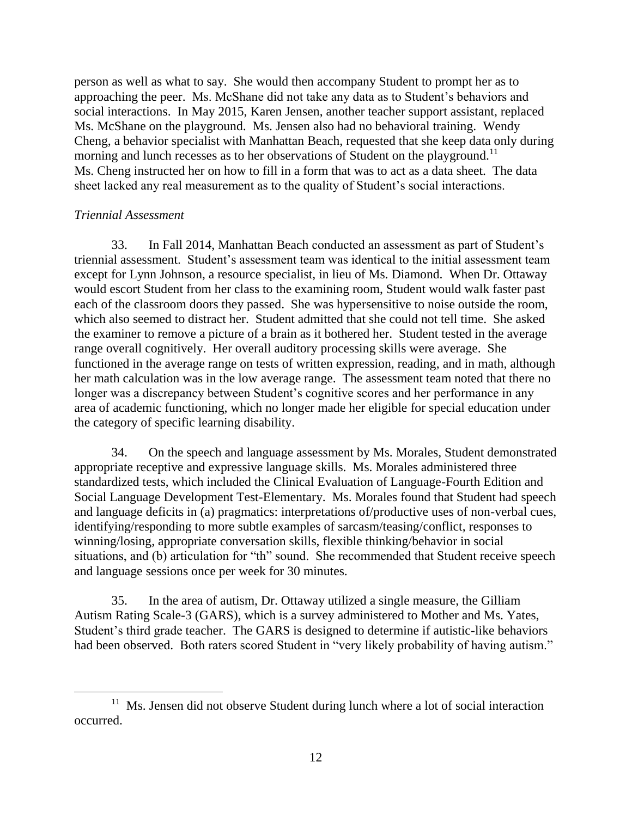person as well as what to say. She would then accompany Student to prompt her as to approaching the peer. Ms. McShane did not take any data as to Student's behaviors and social interactions. In May 2015, Karen Jensen, another teacher support assistant, replaced Ms. McShane on the playground. Ms. Jensen also had no behavioral training. Wendy Cheng, a behavior specialist with Manhattan Beach, requested that she keep data only during morning and lunch recesses as to her observations of Student on the playground.<sup>11</sup> Ms. Cheng instructed her on how to fill in a form that was to act as a data sheet. The data sheet lacked any real measurement as to the quality of Student's social interactions.

## *Triennial Assessment*

33. In Fall 2014, Manhattan Beach conducted an assessment as part of Student's triennial assessment. Student's assessment team was identical to the initial assessment team except for Lynn Johnson, a resource specialist, in lieu of Ms. Diamond. When Dr. Ottaway would escort Student from her class to the examining room, Student would walk faster past each of the classroom doors they passed. She was hypersensitive to noise outside the room, which also seemed to distract her. Student admitted that she could not tell time. She asked the examiner to remove a picture of a brain as it bothered her. Student tested in the average range overall cognitively. Her overall auditory processing skills were average. She functioned in the average range on tests of written expression, reading, and in math, although her math calculation was in the low average range. The assessment team noted that there no longer was a discrepancy between Student's cognitive scores and her performance in any area of academic functioning, which no longer made her eligible for special education under the category of specific learning disability.

34. On the speech and language assessment by Ms. Morales, Student demonstrated appropriate receptive and expressive language skills. Ms. Morales administered three standardized tests, which included the Clinical Evaluation of Language-Fourth Edition and Social Language Development Test-Elementary. Ms. Morales found that Student had speech and language deficits in (a) pragmatics: interpretations of/productive uses of non-verbal cues, identifying/responding to more subtle examples of sarcasm/teasing/conflict, responses to winning/losing, appropriate conversation skills, flexible thinking/behavior in social situations, and (b) articulation for "th" sound. She recommended that Student receive speech and language sessions once per week for 30 minutes.

35. In the area of autism, Dr. Ottaway utilized a single measure, the Gilliam Autism Rating Scale-3 (GARS), which is a survey administered to Mother and Ms. Yates, Student's third grade teacher. The GARS is designed to determine if autistic-like behaviors had been observed. Both raters scored Student in "very likely probability of having autism."

<sup>&</sup>lt;sup>11</sup> Ms. Jensen did not observe Student during lunch where a lot of social interaction occurred.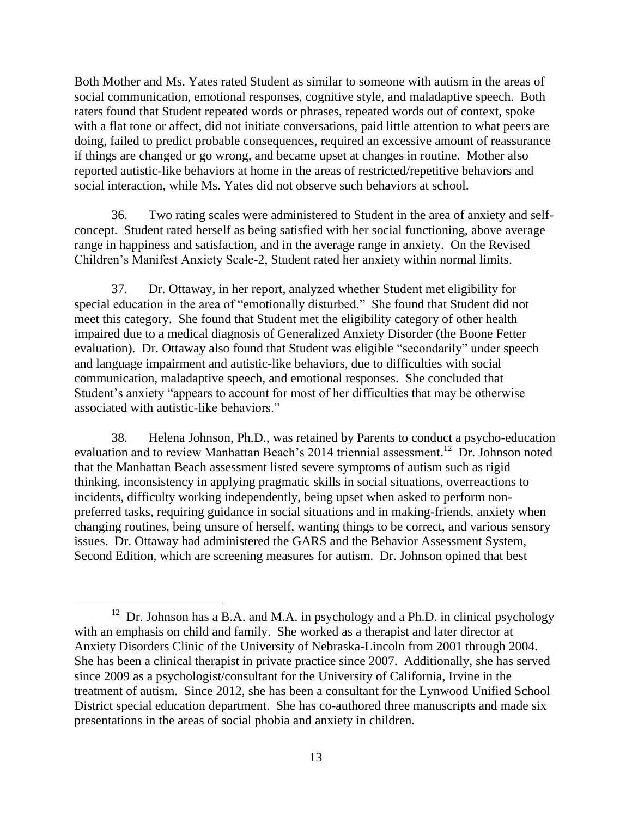Both Mother and Ms. Yates rated Student as similar to someone with autism in the areas of social communication, emotional responses, cognitive style, and maladaptive speech. Both raters found that Student repeated words or phrases, repeated words out of context, spoke with a flat tone or affect, did not initiate conversations, paid little attention to what peers are doing, failed to predict probable consequences, required an excessive amount of reassurance if things are changed or go wrong, and became upset at changes in routine. Mother also reported autistic-like behaviors at home in the areas of restricted/repetitive behaviors and social interaction, while Ms. Yates did not observe such behaviors at school.

36. Two rating scales were administered to Student in the area of anxiety and selfconcept. Student rated herself as being satisfied with her social functioning, above average range in happiness and satisfaction, and in the average range in anxiety. On the Revised Children's Manifest Anxiety Scale-2, Student rated her anxiety within normal limits.

37. Dr. Ottaway, in her report, analyzed whether Student met eligibility for special education in the area of "emotionally disturbed." She found that Student did not meet this category. She found that Student met the eligibility category of other health impaired due to a medical diagnosis of Generalized Anxiety Disorder (the Boone Fetter evaluation). Dr. Ottaway also found that Student was eligible "secondarily" under speech and language impairment and autistic-like behaviors, due to difficulties with social communication, maladaptive speech, and emotional responses. She concluded that Student's anxiety "appears to account for most of her difficulties that may be otherwise associated with autistic-like behaviors."

38. Helena Johnson, Ph.D., was retained by Parents to conduct a psycho-education evaluation and to review Manhattan Beach's 2014 triennial assessment.<sup>12</sup> Dr. Johnson noted that the Manhattan Beach assessment listed severe symptoms of autism such as rigid thinking, inconsistency in applying pragmatic skills in social situations, overreactions to incidents, difficulty working independently, being upset when asked to perform nonpreferred tasks, requiring guidance in social situations and in making-friends, anxiety when changing routines, being unsure of herself, wanting things to be correct, and various sensory issues. Dr. Ottaway had administered the GARS and the Behavior Assessment System, Second Edition, which are screening measures for autism. Dr. Johnson opined that best

 $12$  Dr. Johnson has a B.A. and M.A. in psychology and a Ph.D. in clinical psychology with an emphasis on child and family. She worked as a therapist and later director at Anxiety Disorders Clinic of the University of Nebraska-Lincoln from 2001 through 2004. She has been a clinical therapist in private practice since 2007. Additionally, she has served since 2009 as a psychologist/consultant for the University of California, Irvine in the treatment of autism. Since 2012, she has been a consultant for the Lynwood Unified School District special education department. She has co-authored three manuscripts and made six presentations in the areas of social phobia and anxiety in children.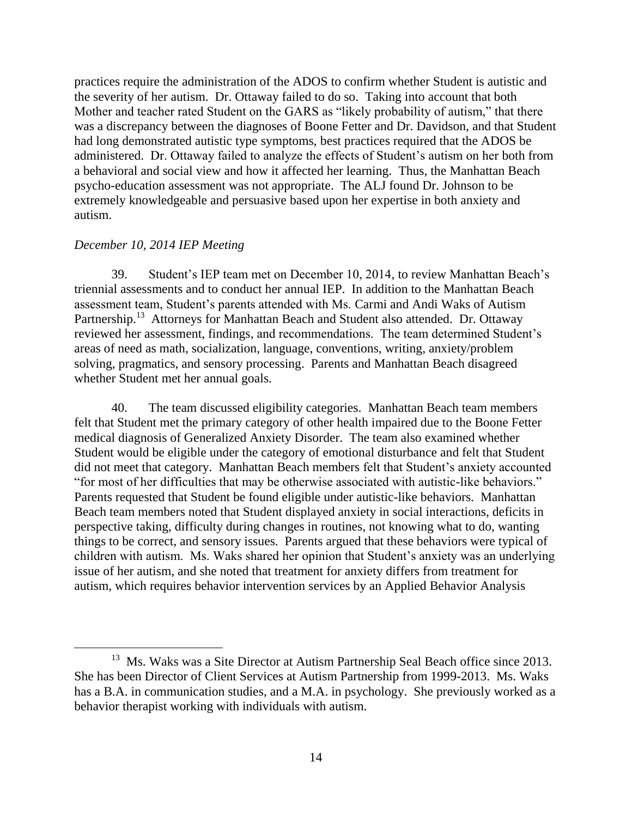practices require the administration of the ADOS to confirm whether Student is autistic and the severity of her autism. Dr. Ottaway failed to do so. Taking into account that both Mother and teacher rated Student on the GARS as "likely probability of autism," that there was a discrepancy between the diagnoses of Boone Fetter and Dr. Davidson, and that Student had long demonstrated autistic type symptoms, best practices required that the ADOS be administered. Dr. Ottaway failed to analyze the effects of Student's autism on her both from a behavioral and social view and how it affected her learning. Thus, the Manhattan Beach psycho-education assessment was not appropriate. The ALJ found Dr. Johnson to be extremely knowledgeable and persuasive based upon her expertise in both anxiety and autism.

#### *December 10, 2014 IEP Meeting*

39. Student's IEP team met on December 10, 2014, to review Manhattan Beach's triennial assessments and to conduct her annual IEP. In addition to the Manhattan Beach assessment team, Student's parents attended with Ms. Carmi and Andi Waks of Autism Partnership.<sup>13</sup> Attorneys for Manhattan Beach and Student also attended. Dr. Ottaway reviewed her assessment, findings, and recommendations. The team determined Student's areas of need as math, socialization, language, conventions, writing, anxiety/problem solving, pragmatics, and sensory processing. Parents and Manhattan Beach disagreed whether Student met her annual goals.

40. The team discussed eligibility categories. Manhattan Beach team members felt that Student met the primary category of other health impaired due to the Boone Fetter medical diagnosis of Generalized Anxiety Disorder. The team also examined whether Student would be eligible under the category of emotional disturbance and felt that Student did not meet that category. Manhattan Beach members felt that Student's anxiety accounted "for most of her difficulties that may be otherwise associated with autistic-like behaviors." Parents requested that Student be found eligible under autistic-like behaviors. Manhattan Beach team members noted that Student displayed anxiety in social interactions, deficits in perspective taking, difficulty during changes in routines, not knowing what to do, wanting things to be correct, and sensory issues. Parents argued that these behaviors were typical of children with autism. Ms. Waks shared her opinion that Student's anxiety was an underlying issue of her autism, and she noted that treatment for anxiety differs from treatment for autism, which requires behavior intervention services by an Applied Behavior Analysis

<sup>&</sup>lt;sup>13</sup> Ms. Waks was a Site Director at Autism Partnership Seal Beach office since 2013. She has been Director of Client Services at Autism Partnership from 1999-2013. Ms. Waks has a B.A. in communication studies, and a M.A. in psychology. She previously worked as a behavior therapist working with individuals with autism.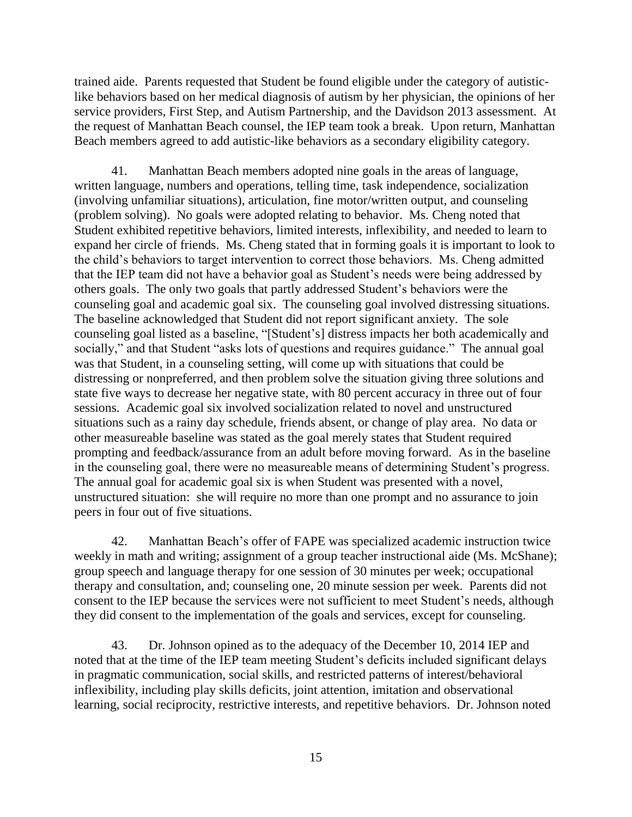trained aide. Parents requested that Student be found eligible under the category of autisticlike behaviors based on her medical diagnosis of autism by her physician, the opinions of her service providers, First Step, and Autism Partnership, and the Davidson 2013 assessment. At the request of Manhattan Beach counsel, the IEP team took a break. Upon return, Manhattan Beach members agreed to add autistic-like behaviors as a secondary eligibility category.

41. Manhattan Beach members adopted nine goals in the areas of language, written language, numbers and operations, telling time, task independence, socialization (involving unfamiliar situations), articulation, fine motor/written output, and counseling (problem solving). No goals were adopted relating to behavior. Ms. Cheng noted that Student exhibited repetitive behaviors, limited interests, inflexibility, and needed to learn to expand her circle of friends. Ms. Cheng stated that in forming goals it is important to look to the child's behaviors to target intervention to correct those behaviors. Ms. Cheng admitted that the IEP team did not have a behavior goal as Student's needs were being addressed by others goals. The only two goals that partly addressed Student's behaviors were the counseling goal and academic goal six. The counseling goal involved distressing situations. The baseline acknowledged that Student did not report significant anxiety. The sole counseling goal listed as a baseline, "[Student's] distress impacts her both academically and socially," and that Student "asks lots of questions and requires guidance." The annual goal was that Student, in a counseling setting, will come up with situations that could be distressing or nonpreferred, and then problem solve the situation giving three solutions and state five ways to decrease her negative state, with 80 percent accuracy in three out of four sessions. Academic goal six involved socialization related to novel and unstructured situations such as a rainy day schedule, friends absent, or change of play area. No data or other measureable baseline was stated as the goal merely states that Student required prompting and feedback/assurance from an adult before moving forward. As in the baseline in the counseling goal, there were no measureable means of determining Student's progress. The annual goal for academic goal six is when Student was presented with a novel, unstructured situation: she will require no more than one prompt and no assurance to join peers in four out of five situations.

42. Manhattan Beach's offer of FAPE was specialized academic instruction twice weekly in math and writing; assignment of a group teacher instructional aide (Ms. McShane); group speech and language therapy for one session of 30 minutes per week; occupational therapy and consultation, and; counseling one, 20 minute session per week. Parents did not consent to the IEP because the services were not sufficient to meet Student's needs, although they did consent to the implementation of the goals and services, except for counseling.

43. Dr. Johnson opined as to the adequacy of the December 10, 2014 IEP and noted that at the time of the IEP team meeting Student's deficits included significant delays in pragmatic communication, social skills, and restricted patterns of interest/behavioral inflexibility, including play skills deficits, joint attention, imitation and observational learning, social reciprocity, restrictive interests, and repetitive behaviors. Dr. Johnson noted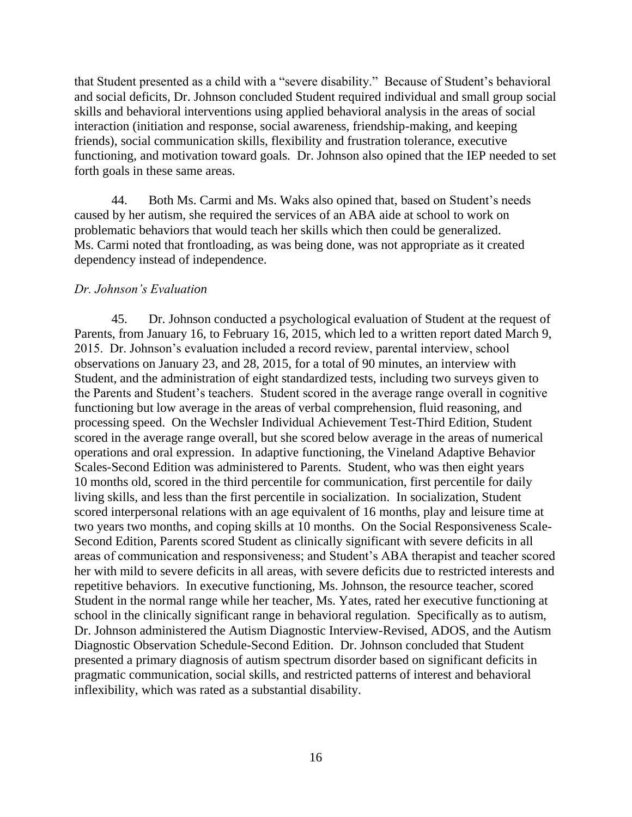that Student presented as a child with a "severe disability." Because of Student's behavioral and social deficits, Dr. Johnson concluded Student required individual and small group social skills and behavioral interventions using applied behavioral analysis in the areas of social interaction (initiation and response, social awareness, friendship-making, and keeping friends), social communication skills, flexibility and frustration tolerance, executive functioning, and motivation toward goals. Dr. Johnson also opined that the IEP needed to set forth goals in these same areas.

44. Both Ms. Carmi and Ms. Waks also opined that, based on Student's needs caused by her autism, she required the services of an ABA aide at school to work on problematic behaviors that would teach her skills which then could be generalized. Ms. Carmi noted that frontloading, as was being done, was not appropriate as it created dependency instead of independence.

## *Dr. Johnson's Evaluation*

45. Dr. Johnson conducted a psychological evaluation of Student at the request of Parents, from January 16, to February 16, 2015, which led to a written report dated March 9, 2015. Dr. Johnson's evaluation included a record review, parental interview, school observations on January 23, and 28, 2015, for a total of 90 minutes, an interview with Student, and the administration of eight standardized tests, including two surveys given to the Parents and Student's teachers. Student scored in the average range overall in cognitive functioning but low average in the areas of verbal comprehension, fluid reasoning, and processing speed. On the Wechsler Individual Achievement Test-Third Edition, Student scored in the average range overall, but she scored below average in the areas of numerical operations and oral expression. In adaptive functioning, the Vineland Adaptive Behavior Scales-Second Edition was administered to Parents. Student, who was then eight years 10 months old, scored in the third percentile for communication, first percentile for daily living skills, and less than the first percentile in socialization. In socialization, Student scored interpersonal relations with an age equivalent of 16 months, play and leisure time at two years two months, and coping skills at 10 months. On the Social Responsiveness Scale-Second Edition, Parents scored Student as clinically significant with severe deficits in all areas of communication and responsiveness; and Student's ABA therapist and teacher scored her with mild to severe deficits in all areas, with severe deficits due to restricted interests and repetitive behaviors. In executive functioning, Ms. Johnson, the resource teacher, scored Student in the normal range while her teacher, Ms. Yates, rated her executive functioning at school in the clinically significant range in behavioral regulation. Specifically as to autism, Dr. Johnson administered the Autism Diagnostic Interview-Revised, ADOS, and the Autism Diagnostic Observation Schedule-Second Edition. Dr. Johnson concluded that Student presented a primary diagnosis of autism spectrum disorder based on significant deficits in pragmatic communication, social skills, and restricted patterns of interest and behavioral inflexibility, which was rated as a substantial disability.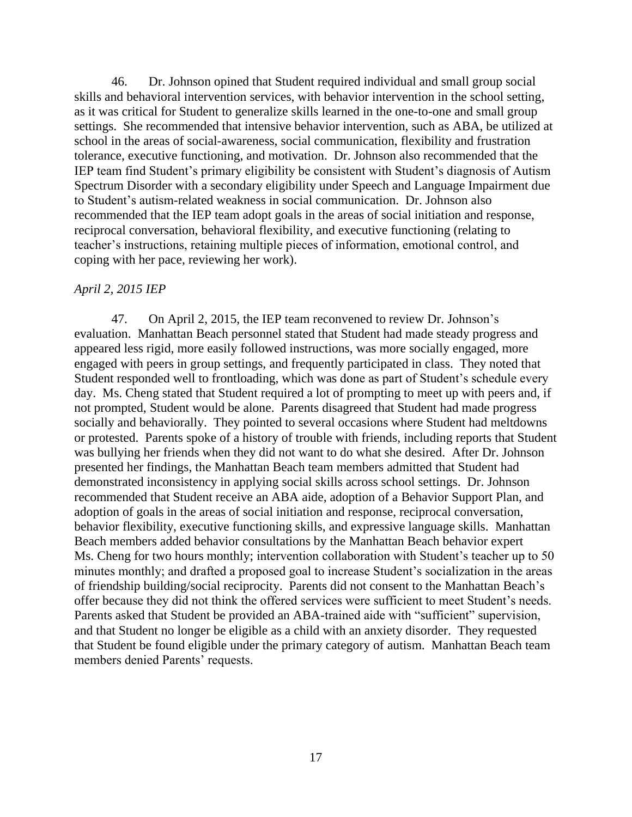46. Dr. Johnson opined that Student required individual and small group social skills and behavioral intervention services, with behavior intervention in the school setting, as it was critical for Student to generalize skills learned in the one-to-one and small group settings. She recommended that intensive behavior intervention, such as ABA, be utilized at school in the areas of social-awareness, social communication, flexibility and frustration tolerance, executive functioning, and motivation. Dr. Johnson also recommended that the IEP team find Student's primary eligibility be consistent with Student's diagnosis of Autism Spectrum Disorder with a secondary eligibility under Speech and Language Impairment due to Student's autism-related weakness in social communication. Dr. Johnson also recommended that the IEP team adopt goals in the areas of social initiation and response, reciprocal conversation, behavioral flexibility, and executive functioning (relating to teacher's instructions, retaining multiple pieces of information, emotional control, and coping with her pace, reviewing her work).

#### *April 2, 2015 IEP*

47. On April 2, 2015, the IEP team reconvened to review Dr. Johnson's evaluation. Manhattan Beach personnel stated that Student had made steady progress and appeared less rigid, more easily followed instructions, was more socially engaged, more engaged with peers in group settings, and frequently participated in class. They noted that Student responded well to frontloading, which was done as part of Student's schedule every day. Ms. Cheng stated that Student required a lot of prompting to meet up with peers and, if not prompted, Student would be alone. Parents disagreed that Student had made progress socially and behaviorally. They pointed to several occasions where Student had meltdowns or protested. Parents spoke of a history of trouble with friends, including reports that Student was bullying her friends when they did not want to do what she desired. After Dr. Johnson presented her findings, the Manhattan Beach team members admitted that Student had demonstrated inconsistency in applying social skills across school settings. Dr. Johnson recommended that Student receive an ABA aide, adoption of a Behavior Support Plan, and adoption of goals in the areas of social initiation and response, reciprocal conversation, behavior flexibility, executive functioning skills, and expressive language skills. Manhattan Beach members added behavior consultations by the Manhattan Beach behavior expert Ms. Cheng for two hours monthly; intervention collaboration with Student's teacher up to 50 minutes monthly; and drafted a proposed goal to increase Student's socialization in the areas of friendship building/social reciprocity. Parents did not consent to the Manhattan Beach's offer because they did not think the offered services were sufficient to meet Student's needs. Parents asked that Student be provided an ABA-trained aide with "sufficient" supervision, and that Student no longer be eligible as a child with an anxiety disorder. They requested that Student be found eligible under the primary category of autism. Manhattan Beach team members denied Parents' requests.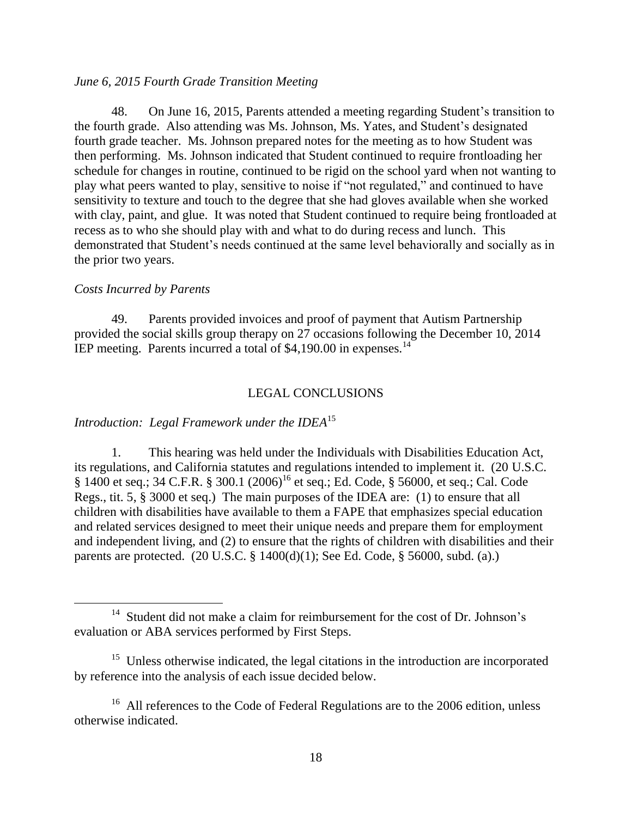#### *June 6, 2015 Fourth Grade Transition Meeting*

48. On June 16, 2015, Parents attended a meeting regarding Student's transition to the fourth grade. Also attending was Ms. Johnson, Ms. Yates, and Student's designated fourth grade teacher. Ms. Johnson prepared notes for the meeting as to how Student was then performing. Ms. Johnson indicated that Student continued to require frontloading her schedule for changes in routine, continued to be rigid on the school yard when not wanting to play what peers wanted to play, sensitive to noise if "not regulated," and continued to have sensitivity to texture and touch to the degree that she had gloves available when she worked with clay, paint, and glue. It was noted that Student continued to require being frontloaded at recess as to who she should play with and what to do during recess and lunch. This demonstrated that Student's needs continued at the same level behaviorally and socially as in the prior two years.

#### *Costs Incurred by Parents*

49. Parents provided invoices and proof of payment that Autism Partnership provided the social skills group therapy on 27 occasions following the December 10, 2014 IEP meeting. Parents incurred a total of \$4,190.00 in expenses.<sup>14</sup>

#### LEGAL CONCLUSIONS

#### *Introduction: Legal Framework under the IDEA*<sup>15</sup>

1. This hearing was held under the Individuals with Disabilities Education Act, its regulations, and California statutes and regulations intended to implement it. (20 U.S.C. § 1400 et seq.; 34 C.F.R. § 300.1 (2006)<sup>16</sup> et seq.; Ed. Code, § 56000, et seq.; Cal. Code Regs., tit. 5, § 3000 et seq.) The main purposes of the IDEA are: (1) to ensure that all children with disabilities have available to them a FAPE that emphasizes special education and related services designed to meet their unique needs and prepare them for employment and independent living, and (2) to ensure that the rights of children with disabilities and their parents are protected. (20 U.S.C. § 1400(d)(1); See Ed. Code, § 56000, subd. (a).)

<sup>&</sup>lt;sup>14</sup> Student did not make a claim for reimbursement for the cost of Dr. Johnson's evaluation or ABA services performed by First Steps.

<sup>&</sup>lt;sup>15</sup> Unless otherwise indicated, the legal citations in the introduction are incorporated by reference into the analysis of each issue decided below.

<sup>&</sup>lt;sup>16</sup> All references to the Code of Federal Regulations are to the 2006 edition, unless otherwise indicated.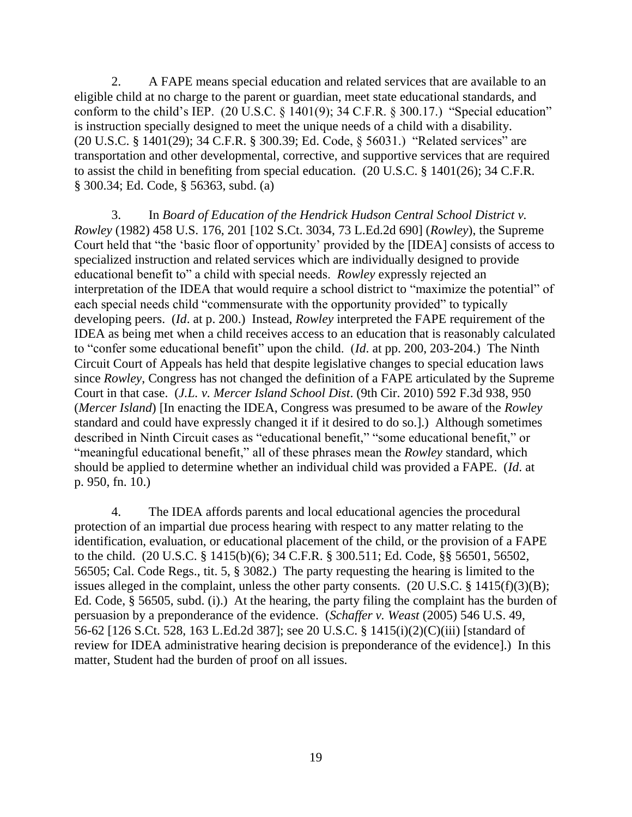2. A FAPE means special education and related services that are available to an eligible child at no charge to the parent or guardian, meet state educational standards, and conform to the child's IEP.  $(20 \text{ U.S.C.} \S 1401(9); 34 \text{ C.F.R.} \S 300.17.)$  "Special education" is instruction specially designed to meet the unique needs of a child with a disability. (20 U.S.C. § 1401(29); 34 C.F.R. § 300.39; Ed. Code, § 56031.) "Related services" are transportation and other developmental, corrective, and supportive services that are required to assist the child in benefiting from special education. (20 U.S.C. § 1401(26); 34 C.F.R. § 300.34; Ed. Code, § 56363, subd. (a)

3. In *Board of Education of the Hendrick Hudson Central School District v. Rowley* (1982) 458 U.S. 176, 201 [102 S.Ct. 3034, 73 L.Ed.2d 690] (*Rowley*), the Supreme Court held that "the 'basic floor of opportunity' provided by the [IDEA] consists of access to specialized instruction and related services which are individually designed to provide educational benefit to" a child with special needs. *Rowley* expressly rejected an interpretation of the IDEA that would require a school district to "maximize the potential" of each special needs child "commensurate with the opportunity provided" to typically developing peers. (*Id*. at p. 200.) Instead, *Rowley* interpreted the FAPE requirement of the IDEA as being met when a child receives access to an education that is reasonably calculated to "confer some educational benefit" upon the child. (*Id*. at pp. 200, 203-204.) The Ninth Circuit Court of Appeals has held that despite legislative changes to special education laws since *Rowley*, Congress has not changed the definition of a FAPE articulated by the Supreme Court in that case. (*J.L. v. Mercer Island School Dist*. (9th Cir. 2010) 592 F.3d 938, 950 (*Mercer Island*) [In enacting the IDEA, Congress was presumed to be aware of the *Rowley* standard and could have expressly changed it if it desired to do so.].) Although sometimes described in Ninth Circuit cases as "educational benefit," "some educational benefit," or "meaningful educational benefit," all of these phrases mean the *Rowley* standard, which should be applied to determine whether an individual child was provided a FAPE. (*Id*. at p. 950, fn. 10.)

4. The IDEA affords parents and local educational agencies the procedural protection of an impartial due process hearing with respect to any matter relating to the identification, evaluation, or educational placement of the child, or the provision of a FAPE to the child. (20 U.S.C. § 1415(b)(6); 34 C.F.R. § 300.511; Ed. Code, §§ 56501, 56502, 56505; Cal. Code Regs., tit. 5, § 3082.) The party requesting the hearing is limited to the issues alleged in the complaint, unless the other party consents. (20 U.S.C. § 1415(f)(3)(B); Ed. Code, § 56505, subd. (i).) At the hearing, the party filing the complaint has the burden of persuasion by a preponderance of the evidence. (*Schaffer v. Weast* (2005) 546 U.S. 49, 56-62 [126 S.Ct. 528, 163 L.Ed.2d 387]; see 20 U.S.C. § 1415(i)(2)(C)(iii) [standard of review for IDEA administrative hearing decision is preponderance of the evidence].) In this matter, Student had the burden of proof on all issues.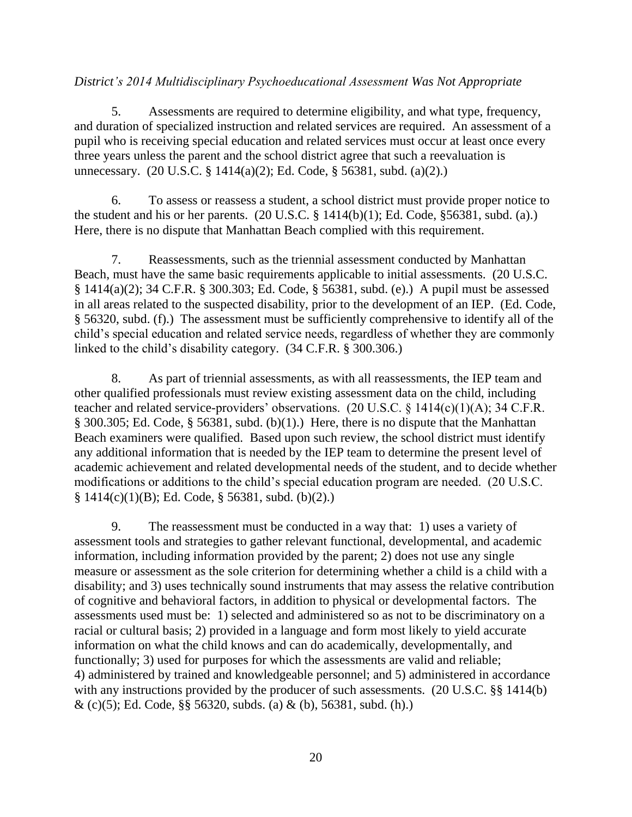# *District's 2014 Multidisciplinary Psychoeducational Assessment Was Not Appropriate*

5. Assessments are required to determine eligibility, and what type, frequency, and duration of specialized instruction and related services are required. An assessment of a pupil who is receiving special education and related services must occur at least once every three years unless the parent and the school district agree that such a reevaluation is unnecessary. (20 U.S.C. § 1414(a)(2); Ed. Code, § 56381, subd. (a)(2).)

6. To assess or reassess a student, a school district must provide proper notice to the student and his or her parents.  $(20 \text{ U.S.C.} \S 1414(b)(1))$ ; Ed. Code,  $\S 56381$ , subd. (a).) Here, there is no dispute that Manhattan Beach complied with this requirement.

7. Reassessments, such as the triennial assessment conducted by Manhattan Beach, must have the same basic requirements applicable to initial assessments. (20 U.S.C. § 1414(a)(2); 34 C.F.R. § 300.303; Ed. Code, § 56381, subd. (e).) A pupil must be assessed in all areas related to the suspected disability, prior to the development of an IEP. (Ed. Code, § 56320, subd. (f).) The assessment must be sufficiently comprehensive to identify all of the child's special education and related service needs, regardless of whether they are commonly linked to the child's disability category. (34 C.F.R. § 300.306.)

8. As part of triennial assessments, as with all reassessments, the IEP team and other qualified professionals must review existing assessment data on the child, including teacher and related service-providers' observations. (20 U.S.C. § 1414(c)(1)(A); 34 C.F.R. § 300.305; Ed. Code, § 56381, subd. (b)(1).) Here, there is no dispute that the Manhattan Beach examiners were qualified. Based upon such review, the school district must identify any additional information that is needed by the IEP team to determine the present level of academic achievement and related developmental needs of the student, and to decide whether modifications or additions to the child's special education program are needed. (20 U.S.C.  $§ 1414(c)(1)(B); Ed. Code, § 56381, subd. (b)(2).)$ 

9. The reassessment must be conducted in a way that: 1) uses a variety of assessment tools and strategies to gather relevant functional, developmental, and academic information, including information provided by the parent; 2) does not use any single measure or assessment as the sole criterion for determining whether a child is a child with a disability; and 3) uses technically sound instruments that may assess the relative contribution of cognitive and behavioral factors, in addition to physical or developmental factors. The assessments used must be: 1) selected and administered so as not to be discriminatory on a racial or cultural basis; 2) provided in a language and form most likely to yield accurate information on what the child knows and can do academically, developmentally, and functionally; 3) used for purposes for which the assessments are valid and reliable; 4) administered by trained and knowledgeable personnel; and 5) administered in accordance with any instructions provided by the producer of such assessments. (20 U.S.C. §§ 1414(b)  $\&$  (c)(5); Ed. Code, §§ 56320, subds. (a)  $\&$  (b), 56381, subd. (h).)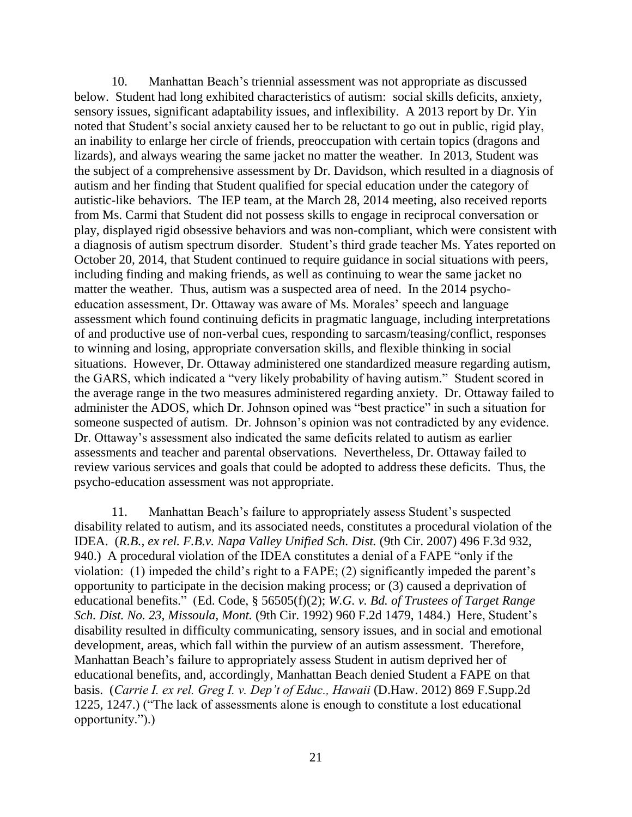10. Manhattan Beach's triennial assessment was not appropriate as discussed below. Student had long exhibited characteristics of autism: social skills deficits, anxiety, sensory issues, significant adaptability issues, and inflexibility. A 2013 report by Dr. Yin noted that Student's social anxiety caused her to be reluctant to go out in public, rigid play, an inability to enlarge her circle of friends, preoccupation with certain topics (dragons and lizards), and always wearing the same jacket no matter the weather. In 2013, Student was the subject of a comprehensive assessment by Dr. Davidson, which resulted in a diagnosis of autism and her finding that Student qualified for special education under the category of autistic-like behaviors. The IEP team, at the March 28, 2014 meeting, also received reports from Ms. Carmi that Student did not possess skills to engage in reciprocal conversation or play, displayed rigid obsessive behaviors and was non-compliant, which were consistent with a diagnosis of autism spectrum disorder. Student's third grade teacher Ms. Yates reported on October 20, 2014, that Student continued to require guidance in social situations with peers, including finding and making friends, as well as continuing to wear the same jacket no matter the weather. Thus, autism was a suspected area of need. In the 2014 psychoeducation assessment, Dr. Ottaway was aware of Ms. Morales' speech and language assessment which found continuing deficits in pragmatic language, including interpretations of and productive use of non-verbal cues, responding to sarcasm/teasing/conflict, responses to winning and losing, appropriate conversation skills, and flexible thinking in social situations. However, Dr. Ottaway administered one standardized measure regarding autism, the GARS, which indicated a "very likely probability of having autism." Student scored in the average range in the two measures administered regarding anxiety. Dr. Ottaway failed to administer the ADOS, which Dr. Johnson opined was "best practice" in such a situation for someone suspected of autism. Dr. Johnson's opinion was not contradicted by any evidence. Dr. Ottaway's assessment also indicated the same deficits related to autism as earlier assessments and teacher and parental observations. Nevertheless, Dr. Ottaway failed to review various services and goals that could be adopted to address these deficits. Thus, the psycho-education assessment was not appropriate.

11. Manhattan Beach's failure to appropriately assess Student's suspected disability related to autism, and its associated needs, constitutes a procedural violation of the IDEA. (*R.B., ex rel. F.B.v. Napa Valley Unified Sch. Dist.* (9th Cir. 2007) 496 F.3d 932, 940.) A procedural violation of the IDEA constitutes a denial of a FAPE "only if the violation: (1) impeded the child's right to a FAPE; (2) significantly impeded the parent's opportunity to participate in the decision making process; or (3) caused a deprivation of educational benefits." [\(Ed. Code, §](http://www.westlaw.com/Link/Document/FullText?findType=L&pubNum=1000205&cite=CAEDS56505&originatingDoc=I44c93950343411e59310dee353d566e2&refType=SP&originationContext=document&vr=3.0&rs=cblt1.0&transitionType=DocumentItem&contextData=(sc.UserEnteredCitation)#co_pp_ac4e0000281c0) 56505(f)(2); *[W.G. v. Bd. of Trustees of Target Range](http://www.westlaw.com/Link/Document/FullText?findType=Y&serNum=1992070739&pubNum=0000350&originatingDoc=I44c93950343411e59310dee353d566e2&refType=RP&fi=co_pp_sp_350_1484&originationContext=document&vr=3.0&rs=cblt1.0&transitionType=DocumentItem&contextData=(sc.UserEnteredCitation)#co_pp_sp_350_1484)  Sch. Dist. No. 23, Missoula, Mont.* [\(9th Cir. 1992\) 960 F.2d 1479, 1484.](http://www.westlaw.com/Link/Document/FullText?findType=Y&serNum=1992070739&pubNum=0000350&originatingDoc=I44c93950343411e59310dee353d566e2&refType=RP&fi=co_pp_sp_350_1484&originationContext=document&vr=3.0&rs=cblt1.0&transitionType=DocumentItem&contextData=(sc.UserEnteredCitation)#co_pp_sp_350_1484)) Here, Student's disability resulted in difficulty communicating, sensory issues, and in social and emotional development, areas, which fall within the purview of an autism assessment. Therefore, Manhattan Beach's failure to appropriately assess Student in autism deprived her of educational benefits, and, accordingly, Manhattan Beach denied Student a FAPE on that basis. (*[Carrie I. ex rel. Greg I. v. Dep't of Educ., Hawaii](http://www.westlaw.com/Link/Document/FullText?findType=Y&serNum=2027955318&pubNum=0004637&originatingDoc=I44c93950343411e59310dee353d566e2&refType=RP&fi=co_pp_sp_4637_1247&originationContext=document&vr=3.0&rs=cblt1.0&transitionType=DocumentItem&contextData=(sc.UserEnteredCitation)#co_pp_sp_4637_1247)* (D.Haw. 2012) 869 F.Supp.2d [1225, 1247.\)](http://www.westlaw.com/Link/Document/FullText?findType=Y&serNum=2027955318&pubNum=0004637&originatingDoc=I44c93950343411e59310dee353d566e2&refType=RP&fi=co_pp_sp_4637_1247&originationContext=document&vr=3.0&rs=cblt1.0&transitionType=DocumentItem&contextData=(sc.UserEnteredCitation)#co_pp_sp_4637_1247) ("The lack of assessments alone is enough to constitute a lost educational opportunity.").)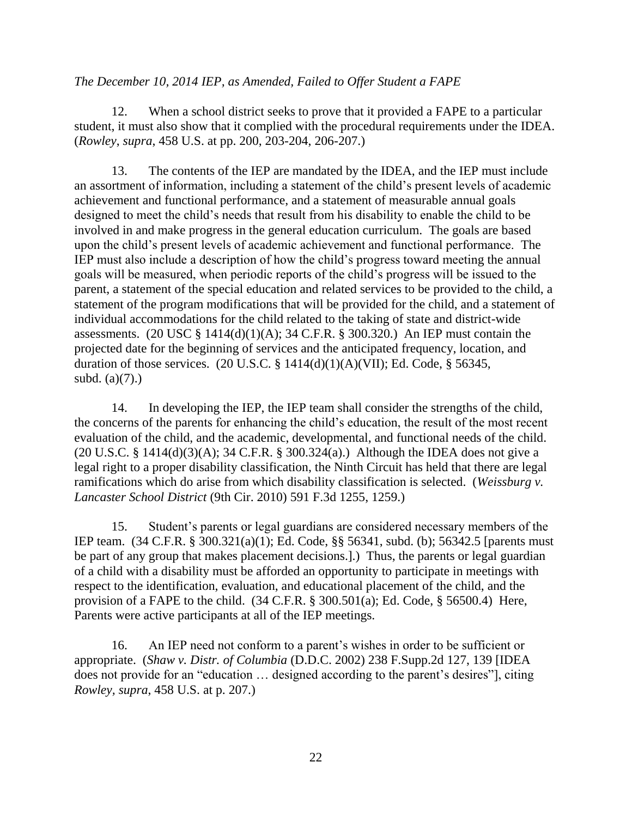### *The December 10, 2014 IEP, as Amended, Failed to Offer Student a FAPE*

12. When a school district seeks to prove that it provided a FAPE to a particular student, it must also show that it complied with the procedural requirements under the IDEA. (*Rowley*, *supra*, 458 U.S. at pp. 200, 203-204, 206-207.)

13. The contents of the IEP are mandated by the IDEA, and the IEP must include an assortment of information, including a statement of the child's present levels of academic achievement and functional performance, and a statement of measurable annual goals designed to meet the child's needs that result from his disability to enable the child to be involved in and make progress in the general education curriculum. The goals are based upon the child's present levels of academic achievement and functional performance. The IEP must also include a description of how the child's progress toward meeting the annual goals will be measured, when periodic reports of the child's progress will be issued to the parent, a statement of the special education and related services to be provided to the child, a statement of the program modifications that will be provided for the child, and a statement of individual accommodations for the child related to the taking of state and district-wide assessments. (20 USC § 1414(d)(1)(A); 34 C.F.R. § 300.320.) An IEP must contain the projected date for the beginning of services and the anticipated frequency, location, and duration of those services. (20 U.S.C.  $\S$  1414(d)(1)(A)(VII); Ed. Code,  $\S$  56345, subd.  $(a)(7)$ .)

14. In developing the IEP, the IEP team shall consider the strengths of the child, the concerns of the parents for enhancing the child's education, the result of the most recent evaluation of the child, and the academic, developmental, and functional needs of the child. (20 U.S.C. § 1414(d)(3)(A); 34 C.F.R. § 300.324(a).) Although the IDEA does not give a legal right to a proper disability classification, the Ninth Circuit has held that there are legal ramifications which do arise from which disability classification is selected. (*Weissburg v. Lancaster School District* (9th Cir. 2010) 591 F.3d 1255, 1259.)

15. Student's parents or legal guardians are considered necessary members of the IEP team. (34 C.F.R. § 300.321(a)(1); Ed. Code, §§ 56341, subd. (b); 56342.5 [parents must be part of any group that makes placement decisions.].) Thus, the parents or legal guardian of a child with a disability must be afforded an opportunity to participate in meetings with respect to the identification, evaluation, and educational placement of the child, and the provision of a FAPE to the child. (34 C.F.R. § 300.501(a); Ed. Code, § 56500.4) Here, Parents were active participants at all of the IEP meetings.

16. An IEP need not conform to a parent's wishes in order to be sufficient or appropriate. (*Shaw v. Distr. of Columbia* (D.D.C. 2002) 238 F.Supp.2d 127, 139 [IDEA does not provide for an "education … designed according to the parent's desires"], citing *Rowley, supra*, 458 U.S. at p. 207.)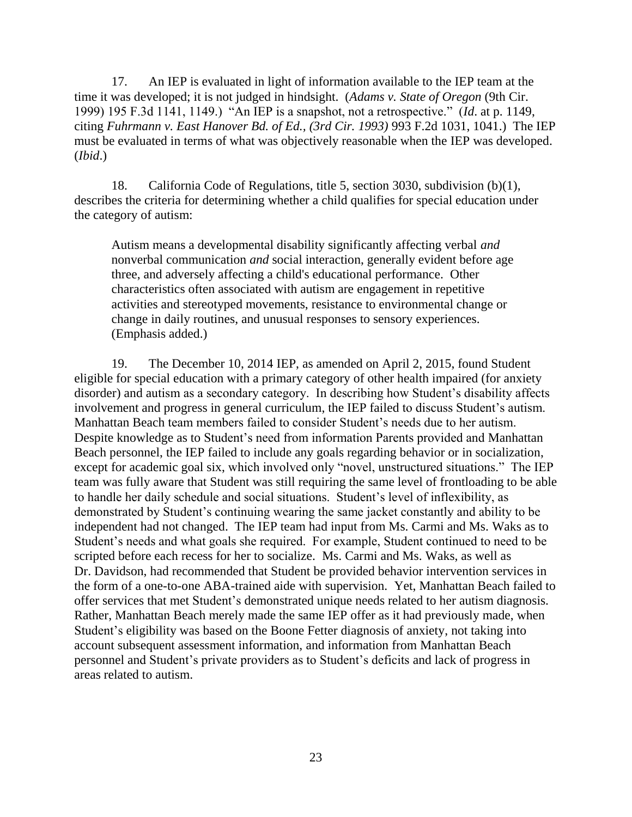17. An IEP is evaluated in light of information available to the IEP team at the time it was developed; it is not judged in hindsight. (*Adams v. State of Oregon* (9th Cir. 1999) 195 F.3d 1141, 1149.) "An IEP is a snapshot, not a retrospective." (*Id*. at p. 1149, citing *Fuhrmann v. East Hanover Bd. of Ed., (3rd Cir. 1993)* 993 F.2d 1031, 1041.) The IEP must be evaluated in terms of what was objectively reasonable when the IEP was developed. (*Ibid*.)

18. California Code of Regulations, title 5, section 3030, subdivision (b)(1), describes the criteria for determining whether a child qualifies for special education under the category of autism:

Autism means a developmental disability significantly affecting verbal *and* nonverbal communication *and* social interaction, generally evident before age three, and adversely affecting a child's educational performance. Other characteristics often associated with autism are engagement in repetitive activities and stereotyped movements, resistance to environmental change or change in daily routines, and unusual responses to sensory experiences. (Emphasis added.)

19. The December 10, 2014 IEP, as amended on April 2, 2015, found Student eligible for special education with a primary category of other health impaired (for anxiety disorder) and autism as a secondary category. In describing how Student's disability affects involvement and progress in general curriculum, the IEP failed to discuss Student's autism. Manhattan Beach team members failed to consider Student's needs due to her autism. Despite knowledge as to Student's need from information Parents provided and Manhattan Beach personnel, the IEP failed to include any goals regarding behavior or in socialization, except for academic goal six, which involved only "novel, unstructured situations." The IEP team was fully aware that Student was still requiring the same level of frontloading to be able to handle her daily schedule and social situations. Student's level of inflexibility, as demonstrated by Student's continuing wearing the same jacket constantly and ability to be independent had not changed. The IEP team had input from Ms. Carmi and Ms. Waks as to Student's needs and what goals she required. For example, Student continued to need to be scripted before each recess for her to socialize. Ms. Carmi and Ms. Waks, as well as Dr. Davidson, had recommended that Student be provided behavior intervention services in the form of a one-to-one ABA-trained aide with supervision. Yet, Manhattan Beach failed to offer services that met Student's demonstrated unique needs related to her autism diagnosis. Rather, Manhattan Beach merely made the same IEP offer as it had previously made, when Student's eligibility was based on the Boone Fetter diagnosis of anxiety, not taking into account subsequent assessment information, and information from Manhattan Beach personnel and Student's private providers as to Student's deficits and lack of progress in areas related to autism.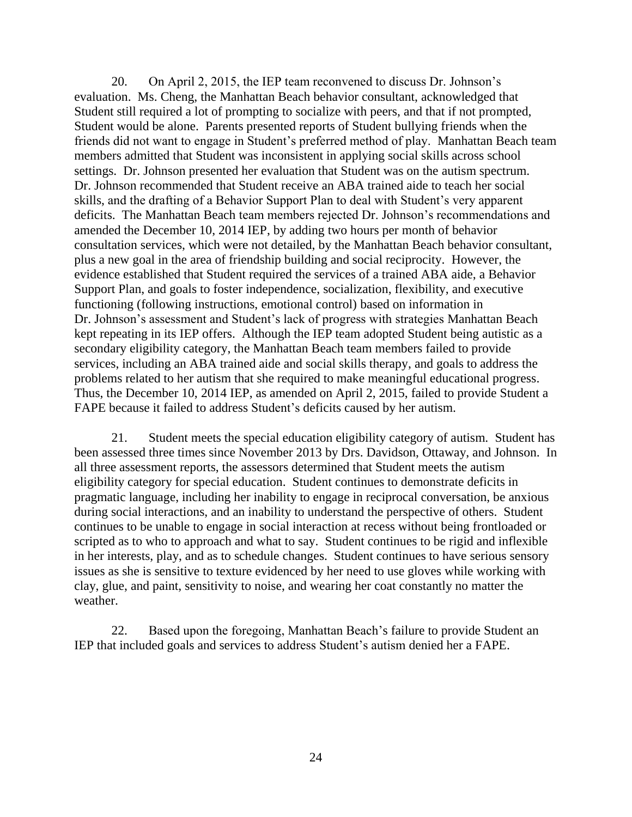20. On April 2, 2015, the IEP team reconvened to discuss Dr. Johnson's evaluation. Ms. Cheng, the Manhattan Beach behavior consultant, acknowledged that Student still required a lot of prompting to socialize with peers, and that if not prompted, Student would be alone. Parents presented reports of Student bullying friends when the friends did not want to engage in Student's preferred method of play. Manhattan Beach team members admitted that Student was inconsistent in applying social skills across school settings. Dr. Johnson presented her evaluation that Student was on the autism spectrum. Dr. Johnson recommended that Student receive an ABA trained aide to teach her social skills, and the drafting of a Behavior Support Plan to deal with Student's very apparent deficits. The Manhattan Beach team members rejected Dr. Johnson's recommendations and amended the December 10, 2014 IEP, by adding two hours per month of behavior consultation services, which were not detailed, by the Manhattan Beach behavior consultant, plus a new goal in the area of friendship building and social reciprocity. However, the evidence established that Student required the services of a trained ABA aide, a Behavior Support Plan, and goals to foster independence, socialization, flexibility, and executive functioning (following instructions, emotional control) based on information in Dr. Johnson's assessment and Student's lack of progress with strategies Manhattan Beach kept repeating in its IEP offers. Although the IEP team adopted Student being autistic as a secondary eligibility category, the Manhattan Beach team members failed to provide services, including an ABA trained aide and social skills therapy, and goals to address the problems related to her autism that she required to make meaningful educational progress. Thus, the December 10, 2014 IEP, as amended on April 2, 2015, failed to provide Student a FAPE because it failed to address Student's deficits caused by her autism.

21. Student meets the special education eligibility category of autism. Student has been assessed three times since November 2013 by Drs. Davidson, Ottaway, and Johnson. In all three assessment reports, the assessors determined that Student meets the autism eligibility category for special education. Student continues to demonstrate deficits in pragmatic language, including her inability to engage in reciprocal conversation, be anxious during social interactions, and an inability to understand the perspective of others. Student continues to be unable to engage in social interaction at recess without being frontloaded or scripted as to who to approach and what to say. Student continues to be rigid and inflexible in her interests, play, and as to schedule changes. Student continues to have serious sensory issues as she is sensitive to texture evidenced by her need to use gloves while working with clay, glue, and paint, sensitivity to noise, and wearing her coat constantly no matter the weather.

22. Based upon the foregoing, Manhattan Beach's failure to provide Student an IEP that included goals and services to address Student's autism denied her a FAPE.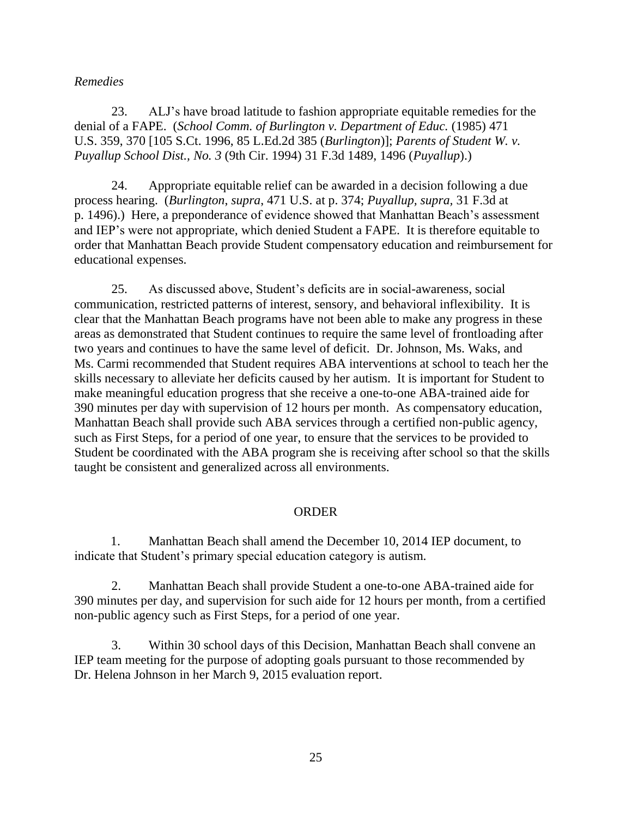## *Remedies*

23. ALJ's have broad latitude to fashion appropriate equitable remedies for the denial of a FAPE. (*School Comm. of Burlington v. Department of Educ.* (1985) 471 U.S. 359, 370 [105 S.Ct. 1996, 85 L.Ed.2d 385 (*Burlington*)]; *Parents of Student W. v. Puyallup School Dist., No. 3* (9th Cir. 1994) 31 F.3d 1489, 1496 (*Puyallup*).)

24. Appropriate equitable relief can be awarded in a decision following a due process hearing. (*Burlington*, *supra*, 471 U.S. at p. 374; *Puyallup, supra,* 31 F.3d at p. 1496).) Here, a preponderance of evidence showed that Manhattan Beach's assessment and IEP's were not appropriate, which denied Student a FAPE. It is therefore equitable to order that Manhattan Beach provide Student compensatory education and reimbursement for educational expenses.

25. As discussed above, Student's deficits are in social-awareness, social communication, restricted patterns of interest, sensory, and behavioral inflexibility. It is clear that the Manhattan Beach programs have not been able to make any progress in these areas as demonstrated that Student continues to require the same level of frontloading after two years and continues to have the same level of deficit. Dr. Johnson, Ms. Waks, and Ms. Carmi recommended that Student requires ABA interventions at school to teach her the skills necessary to alleviate her deficits caused by her autism. It is important for Student to make meaningful education progress that she receive a one-to-one ABA-trained aide for 390 minutes per day with supervision of 12 hours per month. As compensatory education, Manhattan Beach shall provide such ABA services through a certified non-public agency, such as First Steps, for a period of one year, to ensure that the services to be provided to Student be coordinated with the ABA program she is receiving after school so that the skills taught be consistent and generalized across all environments.

#### ORDER

1. Manhattan Beach shall amend the December 10, 2014 IEP document, to indicate that Student's primary special education category is autism.

2. Manhattan Beach shall provide Student a one-to-one ABA-trained aide for 390 minutes per day, and supervision for such aide for 12 hours per month, from a certified non-public agency such as First Steps, for a period of one year.

3. Within 30 school days of this Decision, Manhattan Beach shall convene an IEP team meeting for the purpose of adopting goals pursuant to those recommended by Dr. Helena Johnson in her March 9, 2015 evaluation report.